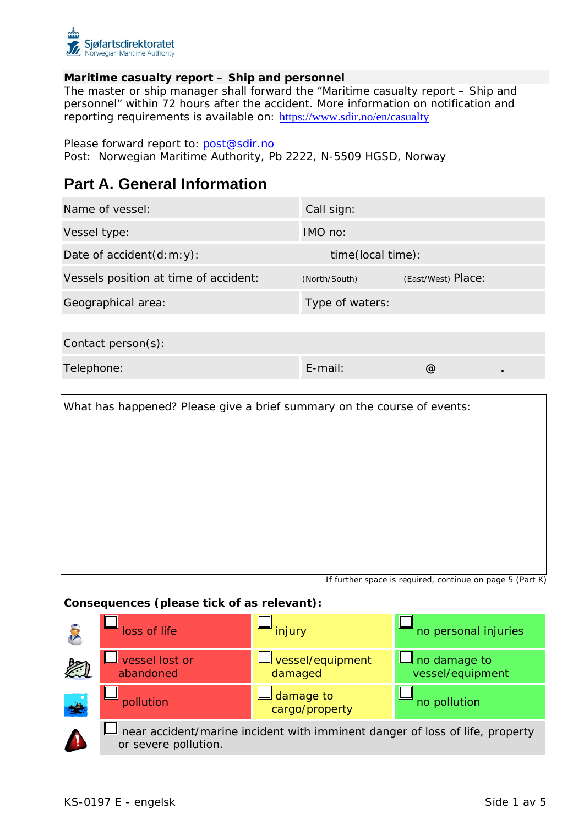

### **Maritime casualty report – Ship and personnel**

The master or ship manager shall forward the "Maritime casualty report – Ship and personnel" within 72 hours after the accident. More information on notification and reporting requirements is available on: <https://www.sdir.no/en/casualty>

Please forward report to: [post@sdir.no](mailto:post@sdir.no)

Post: Norwegian Maritime Authority, Pb 2222, N-5509 HGSD, Norway

# **Part A. General Information**

| Name of vessel:                       | Call sign:        |                    |
|---------------------------------------|-------------------|--------------------|
| Vessel type:                          | $IMO$ no:         |                    |
| Date of $accident(d:m; y)$ :          | time(local time): |                    |
| Vessels position at time of accident: | (North/South)     | (East/West) Place: |
| Geographical area:                    | Type of waters:   |                    |
|                                       |                   |                    |
| Contact person(s):                    |                   |                    |
| Telephone:                            | $E$ -mail:        | @)                 |

What has happened? Please give a brief summary on the course of events:

If further space is required, continue on page 5 (Part K)

#### **Consequences (please tick of as relevant):**

|               | loss of life                | injury                              | no personal injuries                                                         |
|---------------|-----------------------------|-------------------------------------|------------------------------------------------------------------------------|
|               | vessel lost or<br>abandoned | <u>Jvessel/equipment</u><br>damaged | $\Box$ no damage to<br>vessel/equipment                                      |
| $\frac{1}{2}$ | pollution                   | damage to<br>cargo/property         | no pollution                                                                 |
|               | or severe pollution.        |                                     | near accident/marine incident with imminent danger of loss of life, property |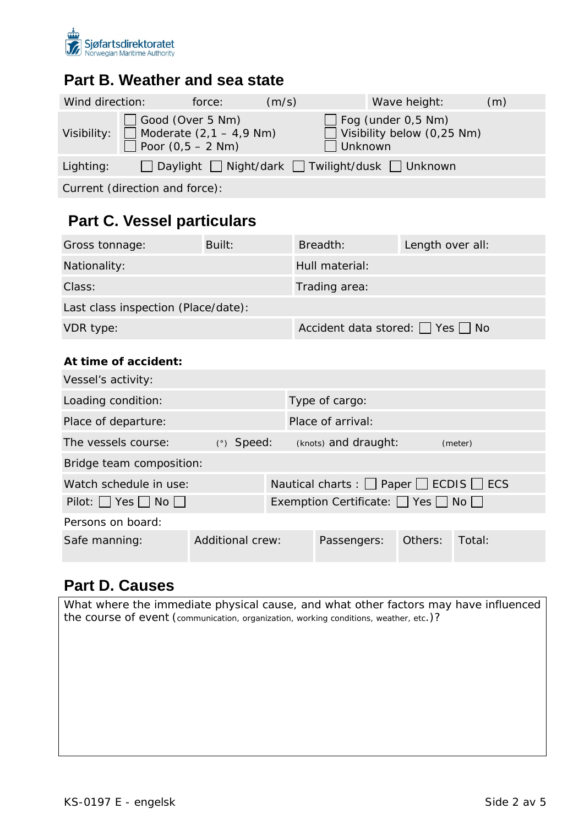

### **Part B. Weather and sea state**

| Wind direction: |                                                                               | force: | (m/s) |         | Wave height:                                                   | (m) |
|-----------------|-------------------------------------------------------------------------------|--------|-------|---------|----------------------------------------------------------------|-----|
| Visibility:     | Good (Over 5 Nm)<br>$\Box$ Moderate $(2, 1 - 4, 9$ Nm)<br>Poor $(0.5 - 2$ Nm) |        |       | Unknown | $\Box$ Fog (under 0,5 Nm)<br>$\Box$ Visibility below (0,25 Nm) |     |
| Lighting:       |                                                                               |        |       |         | □ Daylight □ Night/dark □ Twilight/dusk □ Unknown              |     |

Current (direction and force):

# **Part C. Vessel particulars**

| Gross tonnage:                      | Built: | Breadth:                     | Length over all: |  |  |  |
|-------------------------------------|--------|------------------------------|------------------|--|--|--|
| Nationality:                        |        | Hull material:               |                  |  |  |  |
| Class:                              |        | Trading area:                |                  |  |  |  |
| Last class inspection (Place/date): |        |                              |                  |  |  |  |
| VDR type:                           |        | Accident data stored: Ves no |                  |  |  |  |

### **At time of accident:**

| Vessel's activity:                |              |                                                    |                                                        |         |         |  |  |
|-----------------------------------|--------------|----------------------------------------------------|--------------------------------------------------------|---------|---------|--|--|
| Loading condition:                |              |                                                    | Type of cargo:                                         |         |         |  |  |
| Place of departure:               |              |                                                    | Place of arrival:                                      |         |         |  |  |
| The vessels course:               | $(°)$ Speed: |                                                    | (knots) and draught:                                   |         | (meter) |  |  |
| Bridge team composition:          |              |                                                    |                                                        |         |         |  |  |
| Watch schedule in use:            |              |                                                    | Nautical charts : $\Box$ Paper $\Box$ ECDIS $\Box$ ECS |         |         |  |  |
| $Pilot:$ Yes $\Box$ No $\Box$     |              | Exemption Certificate: $\Box$ Yes $\Box$ No $\Box$ |                                                        |         |         |  |  |
| Persons on board:                 |              |                                                    |                                                        |         |         |  |  |
| Additional crew:<br>Safe manning: |              |                                                    | Passengers:                                            | Others: | Total:  |  |  |

## **Part D. Causes**

*What where the immediate physical cause, and what other factors may have influenced the course of event (communication, organization, working conditions, weather, etc.)?*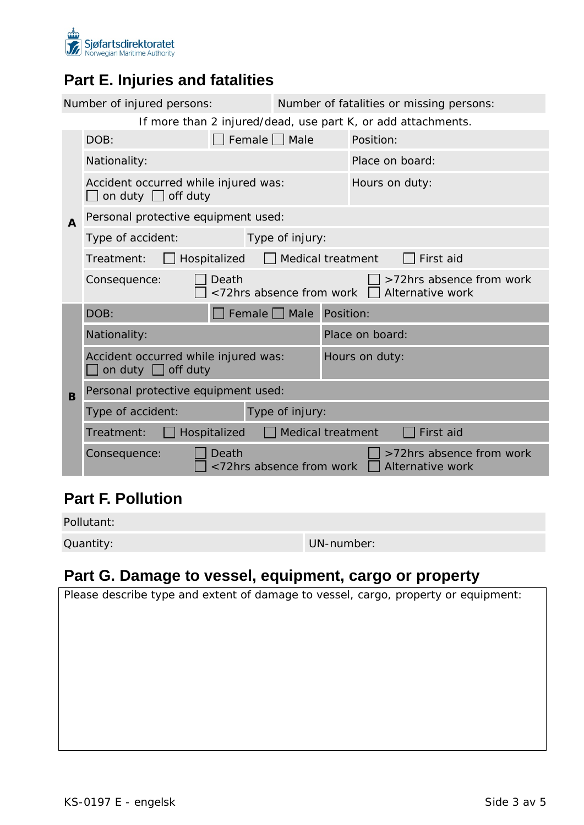

# **Part E. Injuries and fatalities**

|                                                              | Number of injured persons:                                                                        |                                     | Number of fatalities or missing persons: |                 |                                              |  |
|--------------------------------------------------------------|---------------------------------------------------------------------------------------------------|-------------------------------------|------------------------------------------|-----------------|----------------------------------------------|--|
| If more than 2 injured/dead, use part K, or add attachments. |                                                                                                   |                                     |                                          |                 |                                              |  |
|                                                              | Female $\Box$ Male<br>DOB:                                                                        |                                     |                                          | Position:       |                                              |  |
|                                                              | Nationality:                                                                                      |                                     |                                          |                 | Place on board:                              |  |
| $\mathbf{A}$                                                 | Accident occurred while injured was:<br>on duty $\Box$ off duty                                   |                                     |                                          |                 | Hours on duty:                               |  |
|                                                              |                                                                                                   | Personal protective equipment used: |                                          |                 |                                              |  |
|                                                              | Type of accident:                                                                                 |                                     | Type of injury:                          |                 |                                              |  |
|                                                              | Hospitalized<br>Medical treatment<br>First aid<br>Treatment:                                      |                                     |                                          |                 |                                              |  |
|                                                              | >72hrs absence from work<br>Death<br>Consequence:<br><72hrs absence from work<br>Alternative work |                                     |                                          |                 |                                              |  |
|                                                              | DOB:                                                                                              |                                     | Female   Male                            | Position:       |                                              |  |
|                                                              | Nationality:                                                                                      |                                     |                                          | Place on board: |                                              |  |
|                                                              | Accident occurred while injured was:<br>on duty $\Box$ off duty                                   |                                     | Hours on duty:                           |                 |                                              |  |
| B                                                            | Personal protective equipment used:                                                               |                                     |                                          |                 |                                              |  |
|                                                              | Type of accident:                                                                                 |                                     | Type of injury:                          |                 |                                              |  |
|                                                              | Medical treatment<br>First aid<br>Hospitalized<br>Treatment:                                      |                                     |                                          |                 |                                              |  |
|                                                              | Consequence:                                                                                      | Death<br><72hrs absence from work   |                                          |                 | >72hrs absence from work<br>Alternative work |  |

# **Part F. Pollution**

Pollutant:

Quantity: UN-number:

# **Part G. Damage to vessel, equipment, cargo or property**

|  |  | Please describe type and extent of damage to vessel, cargo, property or equipment: |  |
|--|--|------------------------------------------------------------------------------------|--|
|  |  |                                                                                    |  |
|  |  |                                                                                    |  |
|  |  |                                                                                    |  |
|  |  |                                                                                    |  |
|  |  |                                                                                    |  |
|  |  |                                                                                    |  |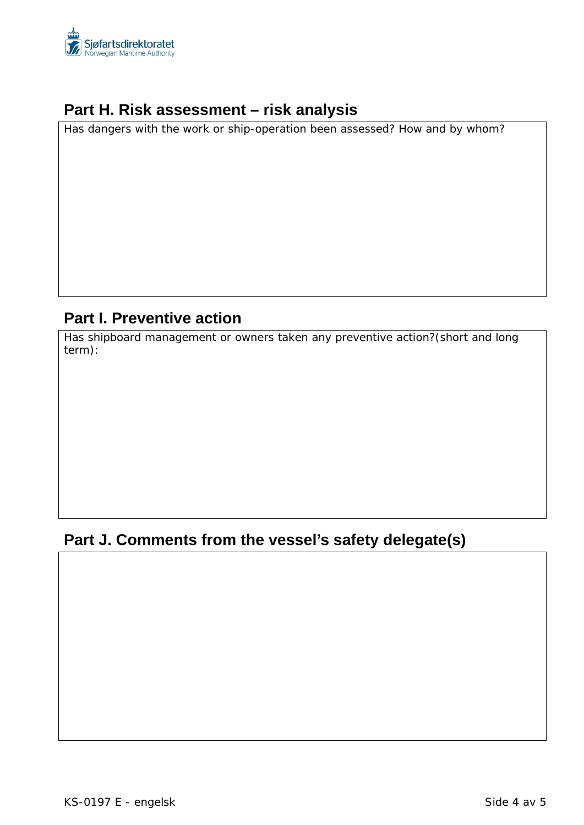

### **Part H. Risk assessment – risk analysis**

*Has dangers with the work or ship-operation been assessed? How and by whom?*

# **Part I. Preventive action**

*Has shipboard management or owners taken any preventive action?(short and long term):*

## **Part J. Comments from the vessel's safety delegate(s)**